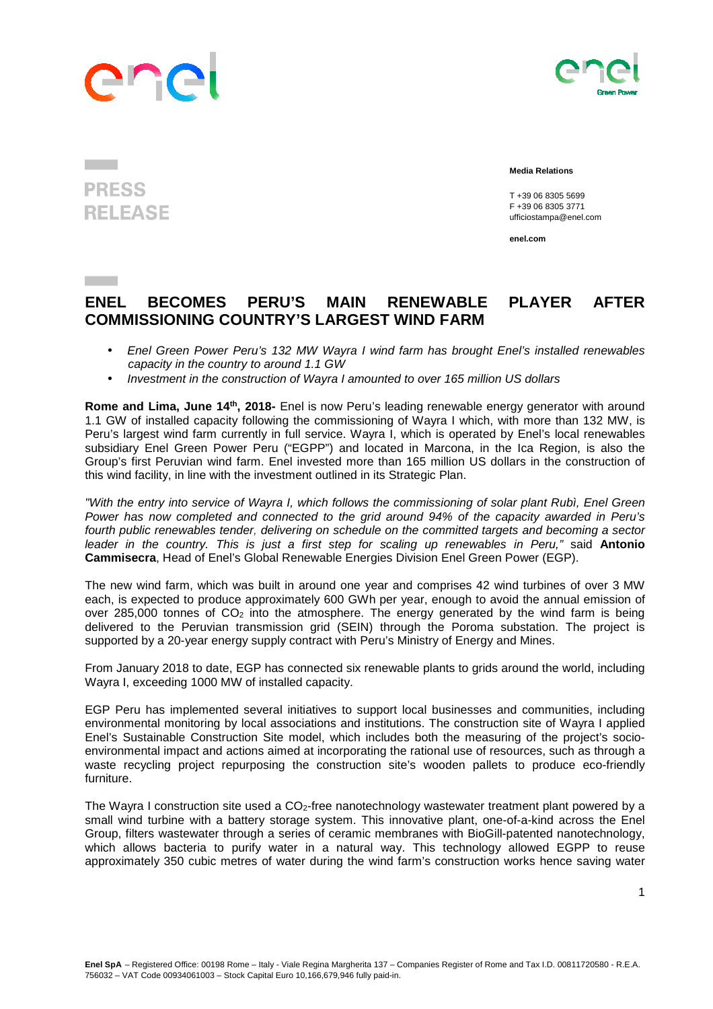## Ine



## **PRESS RELEASE**

 **Media Relations** 

T +39 06 8305 5699 F +39 06 8305 3771 ufficiostampa@enel.com

**enel.com**

## **ENEL BECOMES PERU'S MAIN RENEWABLE PLAYER AFTER COMMISSIONING COUNTRY'S LARGEST WIND FARM**

- Enel Green Power Peru's 132 MW Wayra I wind farm has brought Enel's installed renewables capacity in the country to around 1.1 GW
- Investment in the construction of Wayra I amounted to over 165 million US dollars

**Rome and Lima, June 14th, 2018-** Enel is now Peru's leading renewable energy generator with around 1.1 GW of installed capacity following the commissioning of Wayra I which, with more than 132 MW, is Peru's largest wind farm currently in full service. Wayra I, which is operated by Enel's local renewables subsidiary Enel Green Power Peru ("EGPP") and located in Marcona, in the Ica Region, is also the Group's first Peruvian wind farm. Enel invested more than 165 million US dollars in the construction of this wind facility, in line with the investment outlined in its Strategic Plan.

"With the entry into service of Wayra I, which follows the commissioning of solar plant Rubì, Enel Green Power has now completed and connected to the grid around 94% of the capacity awarded in Peru's fourth public renewables tender, delivering on schedule on the committed targets and becoming a sector leader in the country. This is just a first step for scaling up renewables in Peru," said **Antonio Cammisecra**, Head of Enel's Global Renewable Energies Division Enel Green Power (EGP).

The new wind farm, which was built in around one year and comprises 42 wind turbines of over 3 MW each, is expected to produce approximately 600 GWh per year, enough to avoid the annual emission of over 285,000 tonnes of CO<sub>2</sub> into the atmosphere. The energy generated by the wind farm is being delivered to the Peruvian transmission grid (SEIN) through the Poroma substation. The project is supported by a 20-year energy supply contract with Peru's Ministry of Energy and Mines.

From January 2018 to date, EGP has connected six renewable plants to grids around the world, including Wayra I, exceeding 1000 MW of installed capacity.

EGP Peru has implemented several initiatives to support local businesses and communities, including environmental monitoring by local associations and institutions. The construction site of Wayra I applied Enel's Sustainable Construction Site model, which includes both the measuring of the project's socioenvironmental impact and actions aimed at incorporating the rational use of resources, such as through a waste recycling project repurposing the construction site's wooden pallets to produce eco-friendly furniture.

The Wayra I construction site used a CO<sub>2</sub>-free nanotechnology wastewater treatment plant powered by a small wind turbine with a battery storage system. This innovative plant, one-of-a-kind across the Enel Group, filters wastewater through a series of ceramic membranes with BioGill-patented nanotechnology, which allows bacteria to purify water in a natural way. This technology allowed EGPP to reuse approximately 350 cubic metres of water during the wind farm's construction works hence saving water